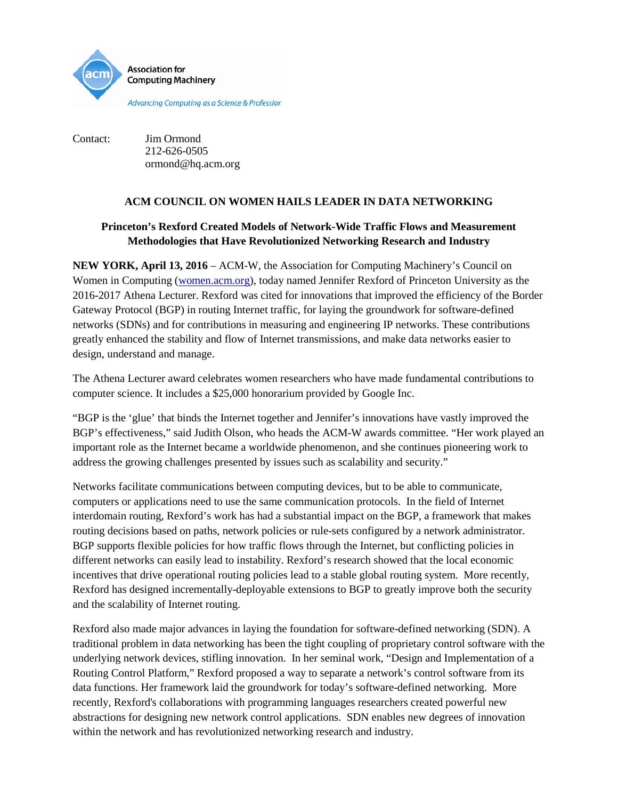

Contact: Jim Ormond 212-626-0505 ormond@hq.acm.org

## **ACM COUNCIL ON WOMEN HAILS LEADER IN DATA NETWORKING**

# **Princeton's Rexford Created Models of Network-Wide Traffic Flows and Measurement Methodologies that Have Revolutionized Networking Research and Industry**

**NEW YORK, April 13, 2016** – ACM-W, the Association for Computing Machinery's Council on Women in Computing [\(women.acm.org\)](http://women.acm.org/), today named Jennifer Rexford of Princeton University as the 2016-2017 Athena Lecturer. Rexford was cited for innovations that improved the efficiency of the Border Gateway Protocol (BGP) in routing Internet traffic, for laying the groundwork for software-defined networks (SDNs) and for contributions in measuring and engineering IP networks. These contributions greatly enhanced the stability and flow of Internet transmissions, and make data networks easier to design, understand and manage.

The Athena Lecturer award celebrates women researchers who have made fundamental contributions to computer science. It includes a \$25,000 honorarium provided by Google Inc.

"BGP is the 'glue' that binds the Internet together and Jennifer's innovations have vastly improved the BGP's effectiveness," said Judith Olson, who heads the ACM-W awards committee. "Her work played an important role as the Internet became a worldwide phenomenon, and she continues pioneering work to address the growing challenges presented by issues such as scalability and security."

Networks facilitate communications between computing devices, but to be able to communicate, computers or applications need to use the same communication protocols. In the field of Internet interdomain routing, Rexford's work has had a substantial impact on the BGP, a framework that makes routing decisions based on paths, network policies or rule-sets configured by a network administrator. BGP supports flexible policies for how traffic flows through the Internet, but conflicting policies in different networks can easily lead to instability. Rexford's research showed that the local economic incentives that drive operational routing policies lead to a stable global routing system. More recently, Rexford has designed incrementally-deployable extensions to BGP to greatly improve both the security and the scalability of Internet routing.

Rexford also made major advances in laying the foundation for software-defined networking (SDN). A traditional problem in data networking has been the tight coupling of proprietary control software with the underlying network devices, stifling innovation. In her seminal work, "Design and Implementation of a Routing Control Platform," Rexford proposed a way to separate a network's control software from its data functions. Her framework laid the groundwork for today's software-defined networking. More recently, Rexford's collaborations with programming languages researchers created powerful new abstractions for designing new network control applications. SDN enables new degrees of innovation within the network and has revolutionized networking research and industry.